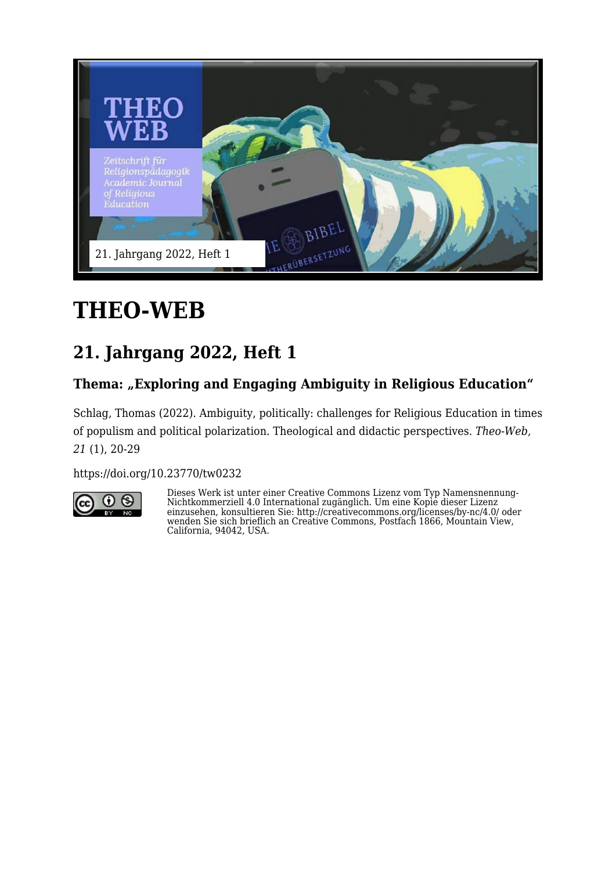

# **THEO-WEB**

# **21. Jahrgang 2022, Heft 1**

#### Thema: "Exploring and Engaging Ambiguity in Religious Education"

Schlag, Thomas (2022). Ambiguity, politically: challenges for Religious Education in times of populism and political polarization. Theological and didactic perspectives. *Theo-Web, 21* (1), 20-29

<https://doi.org/10.23770/tw0232>



Dieses Werk ist unter einer Creative Commons Lizenz vom Typ Namensnennung-Nichtkommerziell 4.0 International zugänglich. Um eine Kopie dieser Lizenz einzusehen, konsultieren Sie: http://creativecommons.org/licenses/by-nc/4.0/ oder wenden Sie sich brieflich an Creative Commons, Postfach 1866, Mountain View, California, 94042, USA.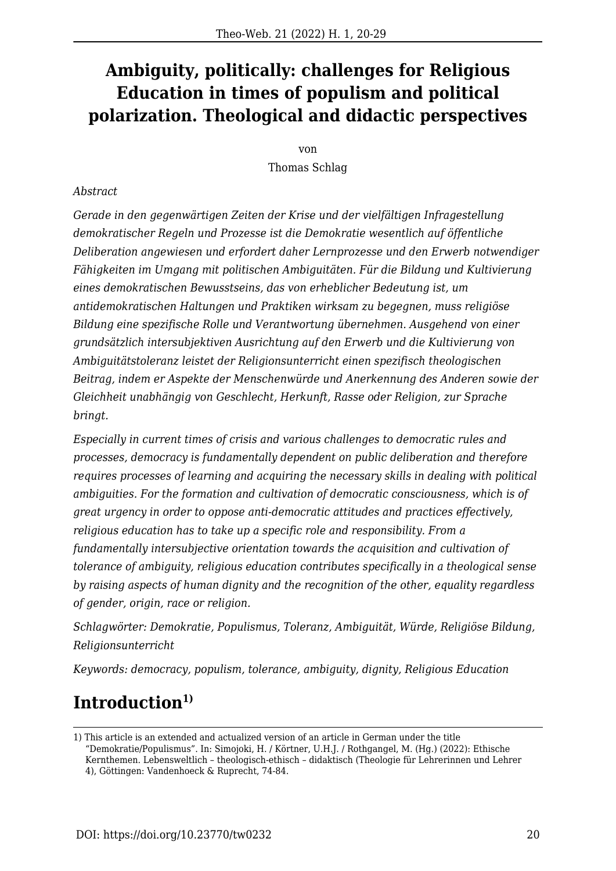## **Ambiguity, politically: challenges for Religious Education in times of populism and political polarization. Theological and didactic perspectives**

#### von

Thomas Schlag

#### *Abstract*

*Gerade in den gegenwärtigen Zeiten der Krise und der vielfältigen Infragestellung demokratischer Regeln und Prozesse ist die Demokratie wesentlich auf öffentliche Deliberation angewiesen und erfordert daher Lernprozesse und den Erwerb notwendiger Fähigkeiten im Umgang mit politischen Ambiguitäten. Für die Bildung und Kultivierung eines demokratischen Bewusstseins, das von erheblicher Bedeutung ist, um antidemokratischen Haltungen und Praktiken wirksam zu begegnen, muss religiöse Bildung eine spezifische Rolle und Verantwortung übernehmen. Ausgehend von einer grundsätzlich intersubjektiven Ausrichtung auf den Erwerb und die Kultivierung von Ambiguitätstoleranz leistet der Religionsunterricht einen spezifisch theologischen Beitrag, indem er Aspekte der Menschenwürde und Anerkennung des Anderen sowie der Gleichheit unabhängig von Geschlecht, Herkunft, Rasse oder Religion, zur Sprache bringt.*

*Especially in current times of crisis and various challenges to democratic rules and processes, democracy is fundamentally dependent on public deliberation and therefore requires processes of learning and acquiring the necessary skills in dealing with political ambiguities. For the formation and cultivation of democratic consciousness, which is of great urgency in order to oppose anti-democratic attitudes and practices effectively, religious education has to take up a specific role and responsibility. From a fundamentally intersubjective orientation towards the acquisition and cultivation of tolerance of ambiguity, religious education contributes specifically in a theological sense by raising aspects of human dignity and the recognition of the other, equality regardless of gender, origin, race or religion.*

*Schlagwörter: Demokratie, Populismus, Toleranz, Ambiguität, Würde, Religiöse Bildung, Religionsunterricht*

*Keywords: democracy, populism, tolerance, ambiguity, dignity, Religious Education*

### **Introduction1)**

<sup>1)</sup> This article is an extended and actualized version of an article in German under the title "Demokratie/Populismus". In: Simojoki, H. / Körtner, U.H.J. / Rothgangel, M. (Hg.) (2022): Ethische Kernthemen. Lebensweltlich – theologisch-ethisch – didaktisch (Theologie für Lehrerinnen und Lehrer 4), Göttingen: Vandenhoeck & Ruprecht, 74-84.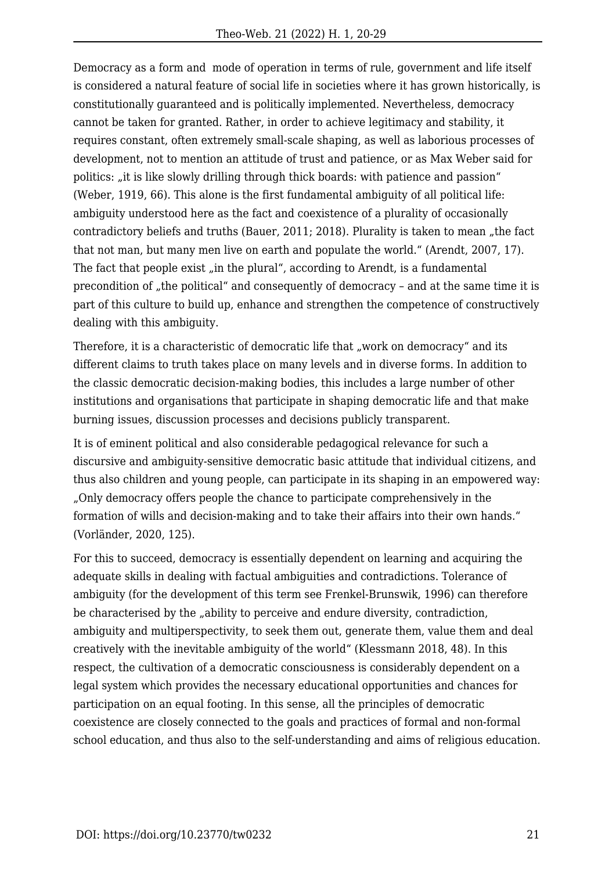Democracy as a form and mode of operation in terms of rule, government and life itself is considered a natural feature of social life in societies where it has grown historically, is constitutionally guaranteed and is politically implemented. Nevertheless, democracy cannot be taken for granted. Rather, in order to achieve legitimacy and stability, it requires constant, often extremely small-scale shaping, as well as laborious processes of development, not to mention an attitude of trust and patience, or as Max Weber said for politics: "it is like slowly drilling through thick boards: with patience and passion" (Weber, 1919, 66). This alone is the first fundamental ambiguity of all political life: ambiguity understood here as the fact and coexistence of a plurality of occasionally contradictory beliefs and truths (Bauer, 2011; 2018). Plurality is taken to mean "the fact that not man, but many men live on earth and populate the world." (Arendt, 2007, 17). The fact that people exist "in the plural", according to Arendt, is a fundamental precondition of "the political" and consequently of democracy - and at the same time it is part of this culture to build up, enhance and strengthen the competence of constructively dealing with this ambiguity.

Therefore, it is a characteristic of democratic life that "work on democracy" and its different claims to truth takes place on many levels and in diverse forms. In addition to the classic democratic decision-making bodies, this includes a large number of other institutions and organisations that participate in shaping democratic life and that make burning issues, discussion processes and decisions publicly transparent.

It is of eminent political and also considerable pedagogical relevance for such a discursive and ambiguity-sensitive democratic basic attitude that individual citizens, and thus also children and young people, can participate in its shaping in an empowered way: "Only democracy offers people the chance to participate comprehensively in the formation of wills and decision-making and to take their affairs into their own hands." (Vorländer, 2020, 125).

For this to succeed, democracy is essentially dependent on learning and acquiring the adequate skills in dealing with factual ambiguities and contradictions. Tolerance of ambiguity (for the development of this term see Frenkel-Brunswik, 1996) can therefore be characterised by the "ability to perceive and endure diversity, contradiction, ambiguity and multiperspectivity, to seek them out, generate them, value them and deal creatively with the inevitable ambiguity of the world" (Klessmann 2018, 48). In this respect, the cultivation of a democratic consciousness is considerably dependent on a legal system which provides the necessary educational opportunities and chances for participation on an equal footing. In this sense, all the principles of democratic coexistence are closely connected to the goals and practices of formal and non-formal school education, and thus also to the self-understanding and aims of religious education.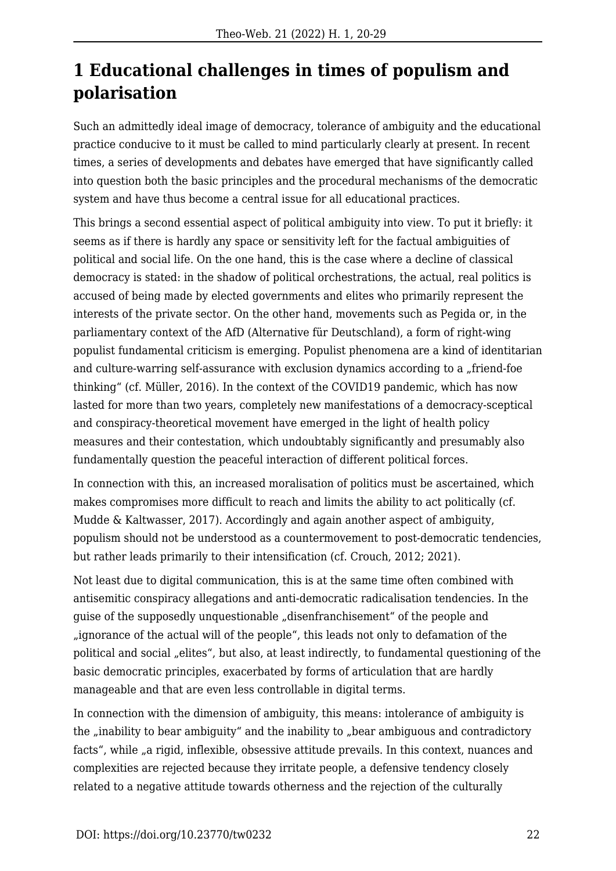# **1 Educational challenges in times of populism and polarisation**

Such an admittedly ideal image of democracy, tolerance of ambiguity and the educational practice conducive to it must be called to mind particularly clearly at present. In recent times, a series of developments and debates have emerged that have significantly called into question both the basic principles and the procedural mechanisms of the democratic system and have thus become a central issue for all educational practices.

This brings a second essential aspect of political ambiguity into view. To put it briefly: it seems as if there is hardly any space or sensitivity left for the factual ambiguities of political and social life. On the one hand, this is the case where a decline of classical democracy is stated: in the shadow of political orchestrations, the actual, real politics is accused of being made by elected governments and elites who primarily represent the interests of the private sector. On the other hand, movements such as Pegida or, in the parliamentary context of the AfD (Alternative für Deutschland), a form of right-wing populist fundamental criticism is emerging. Populist phenomena are a kind of identitarian and culture-warring self-assurance with exclusion dynamics according to a "friend-foe thinking" (cf. Müller, 2016). In the context of the COVID19 pandemic, which has now lasted for more than two years, completely new manifestations of a democracy-sceptical and conspiracy-theoretical movement have emerged in the light of health policy measures and their contestation, which undoubtably significantly and presumably also fundamentally question the peaceful interaction of different political forces.

In connection with this, an increased moralisation of politics must be ascertained, which makes compromises more difficult to reach and limits the ability to act politically (cf. Mudde & Kaltwasser, 2017). Accordingly and again another aspect of ambiguity, populism should not be understood as a countermovement to post-democratic tendencies, but rather leads primarily to their intensification (cf. Crouch, 2012; 2021).

Not least due to digital communication, this is at the same time often combined with antisemitic conspiracy allegations and anti-democratic radicalisation tendencies. In the quise of the supposedly unquestionable "disenfranchisement" of the people and "ignorance of the actual will of the people", this leads not only to defamation of the political and social "elites", but also, at least indirectly, to fundamental questioning of the basic democratic principles, exacerbated by forms of articulation that are hardly manageable and that are even less controllable in digital terms.

In connection with the dimension of ambiguity, this means: intolerance of ambiguity is the "inability to bear ambiguity" and the inability to "bear ambiguous and contradictory facts", while <sub>n</sub>a rigid, inflexible, obsessive attitude prevails. In this context, nuances and complexities are rejected because they irritate people, a defensive tendency closely related to a negative attitude towards otherness and the rejection of the culturally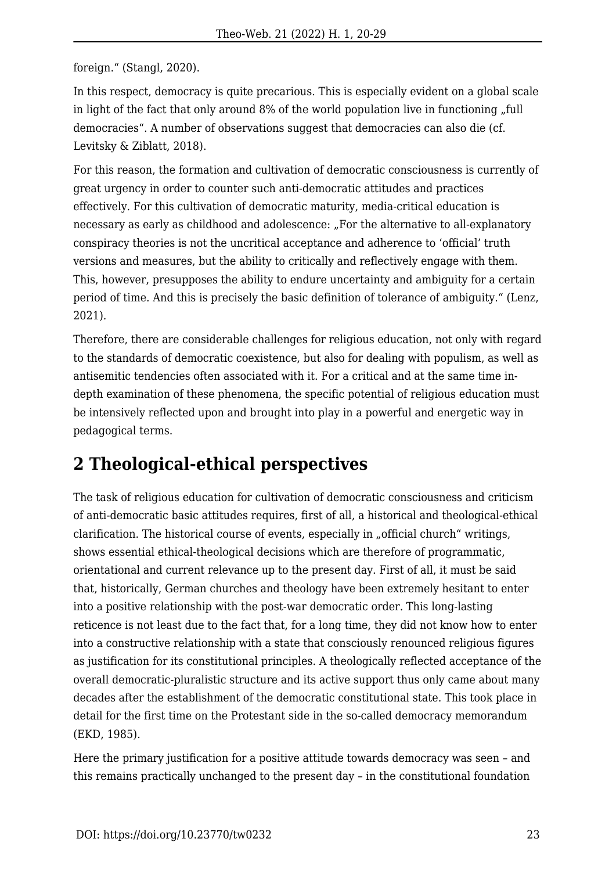foreign." (Stangl, 2020).

In this respect, democracy is quite precarious. This is especially evident on a global scale in light of the fact that only around  $8\%$  of the world population live in functioning  $\eta$  full democracies". A number of observations suggest that democracies can also die (cf. Levitsky & Ziblatt, 2018).

For this reason, the formation and cultivation of democratic consciousness is currently of great urgency in order to counter such anti-democratic attitudes and practices effectively. For this cultivation of democratic maturity, media-critical education is necessary as early as childhood and adolescence: "For the alternative to all-explanatory conspiracy theories is not the uncritical acceptance and adherence to 'official' truth versions and measures, but the ability to critically and reflectively engage with them. This, however, presupposes the ability to endure uncertainty and ambiguity for a certain period of time. And this is precisely the basic definition of tolerance of ambiguity." (Lenz, 2021).

Therefore, there are considerable challenges for religious education, not only with regard to the standards of democratic coexistence, but also for dealing with populism, as well as antisemitic tendencies often associated with it. For a critical and at the same time indepth examination of these phenomena, the specific potential of religious education must be intensively reflected upon and brought into play in a powerful and energetic way in pedagogical terms.

### **2 Theological-ethical perspectives**

The task of religious education for cultivation of democratic consciousness and criticism of anti-democratic basic attitudes requires, first of all, a historical and theological-ethical clarification. The historical course of events, especially in "official church" writings, shows essential ethical-theological decisions which are therefore of programmatic, orientational and current relevance up to the present day. First of all, it must be said that, historically, German churches and theology have been extremely hesitant to enter into a positive relationship with the post-war democratic order. This long-lasting reticence is not least due to the fact that, for a long time, they did not know how to enter into a constructive relationship with a state that consciously renounced religious figures as justification for its constitutional principles. A theologically reflected acceptance of the overall democratic-pluralistic structure and its active support thus only came about many decades after the establishment of the democratic constitutional state. This took place in detail for the first time on the Protestant side in the so-called democracy memorandum (EKD, 1985).

Here the primary justification for a positive attitude towards democracy was seen – and this remains practically unchanged to the present day – in the constitutional foundation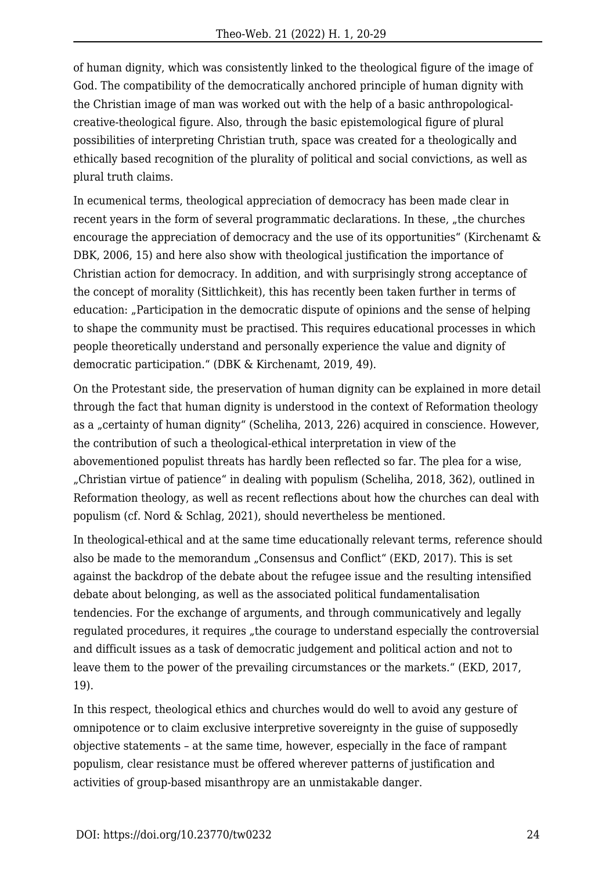of human dignity, which was consistently linked to the theological figure of the image of God. The compatibility of the democratically anchored principle of human dignity with the Christian image of man was worked out with the help of a basic anthropologicalcreative-theological figure. Also, through the basic epistemological figure of plural possibilities of interpreting Christian truth, space was created for a theologically and ethically based recognition of the plurality of political and social convictions, as well as plural truth claims.

In ecumenical terms, theological appreciation of democracy has been made clear in recent years in the form of several programmatic declarations. In these, "the churches encourage the appreciation of democracy and the use of its opportunities" (Kirchenamt & DBK, 2006, 15) and here also show with theological justification the importance of Christian action for democracy. In addition, and with surprisingly strong acceptance of the concept of morality (Sittlichkeit), this has recently been taken further in terms of education: "Participation in the democratic dispute of opinions and the sense of helping to shape the community must be practised. This requires educational processes in which people theoretically understand and personally experience the value and dignity of democratic participation." (DBK & Kirchenamt, 2019, 49).

On the Protestant side, the preservation of human dignity can be explained in more detail through the fact that human dignity is understood in the context of Reformation theology as a "certainty of human dignity" (Scheliha, 2013, 226) acquired in conscience. However, the contribution of such a theological-ethical interpretation in view of the abovementioned populist threats has hardly been reflected so far. The plea for a wise, "Christian virtue of patience" in dealing with populism (Scheliha, 2018, 362), outlined in Reformation theology, as well as recent reflections about how the churches can deal with populism (cf. Nord & Schlag, 2021), should nevertheless be mentioned.

In theological-ethical and at the same time educationally relevant terms, reference should also be made to the memorandum "Consensus and Conflict" (EKD, 2017). This is set against the backdrop of the debate about the refugee issue and the resulting intensified debate about belonging, as well as the associated political fundamentalisation tendencies. For the exchange of arguments, and through communicatively and legally regulated procedures, it requires "the courage to understand especially the controversial and difficult issues as a task of democratic judgement and political action and not to leave them to the power of the prevailing circumstances or the markets." (EKD, 2017, 19).

In this respect, theological ethics and churches would do well to avoid any gesture of omnipotence or to claim exclusive interpretive sovereignty in the guise of supposedly objective statements – at the same time, however, especially in the face of rampant populism, clear resistance must be offered wherever patterns of justification and activities of group-based misanthropy are an unmistakable danger.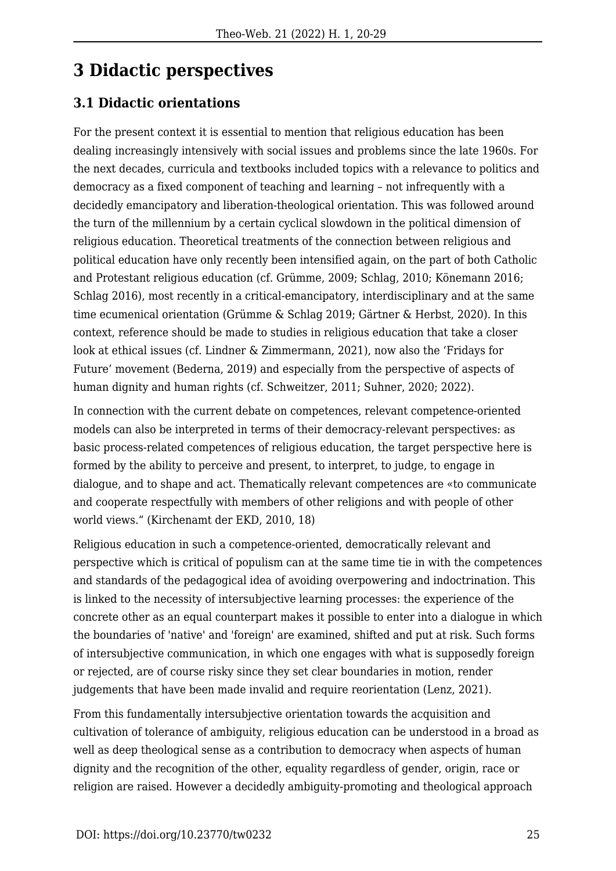### **3 Didactic perspectives**

#### **3.1 Didactic orientations**

For the present context it is essential to mention that religious education has been dealing increasingly intensively with social issues and problems since the late 1960s. For the next decades, curricula and textbooks included topics with a relevance to politics and democracy as a fixed component of teaching and learning – not infrequently with a decidedly emancipatory and liberation-theological orientation. This was followed around the turn of the millennium by a certain cyclical slowdown in the political dimension of religious education. Theoretical treatments of the connection between religious and political education have only recently been intensified again, on the part of both Catholic and Protestant religious education (cf. Grümme, 2009; Schlag, 2010; Könemann 2016; Schlag 2016), most recently in a critical-emancipatory, interdisciplinary and at the same time ecumenical orientation (Grümme & Schlag 2019; Gärtner & Herbst, 2020). In this context, reference should be made to studies in religious education that take a closer look at ethical issues (cf. Lindner & Zimmermann, 2021), now also the 'Fridays for Future' movement (Bederna, 2019) and especially from the perspective of aspects of human dignity and human rights (cf. Schweitzer, 2011; Suhner, 2020; 2022).

In connection with the current debate on competences, relevant competence-oriented models can also be interpreted in terms of their democracy-relevant perspectives: as basic process-related competences of religious education, the target perspective here is formed by the ability to perceive and present, to interpret, to judge, to engage in dialogue, and to shape and act. Thematically relevant competences are «to communicate and cooperate respectfully with members of other religions and with people of other world views." (Kirchenamt der EKD, 2010, 18)

Religious education in such a competence-oriented, democratically relevant and perspective which is critical of populism can at the same time tie in with the competences and standards of the pedagogical idea of avoiding overpowering and indoctrination. This is linked to the necessity of intersubjective learning processes: the experience of the concrete other as an equal counterpart makes it possible to enter into a dialogue in which the boundaries of 'native' and 'foreign' are examined, shifted and put at risk. Such forms of intersubjective communication, in which one engages with what is supposedly foreign or rejected, are of course risky since they set clear boundaries in motion, render judgements that have been made invalid and require reorientation (Lenz, 2021).

From this fundamentally intersubjective orientation towards the acquisition and cultivation of tolerance of ambiguity, religious education can be understood in a broad as well as deep theological sense as a contribution to democracy when aspects of human dignity and the recognition of the other, equality regardless of gender, origin, race or religion are raised. However a decidedly ambiguity-promoting and theological approach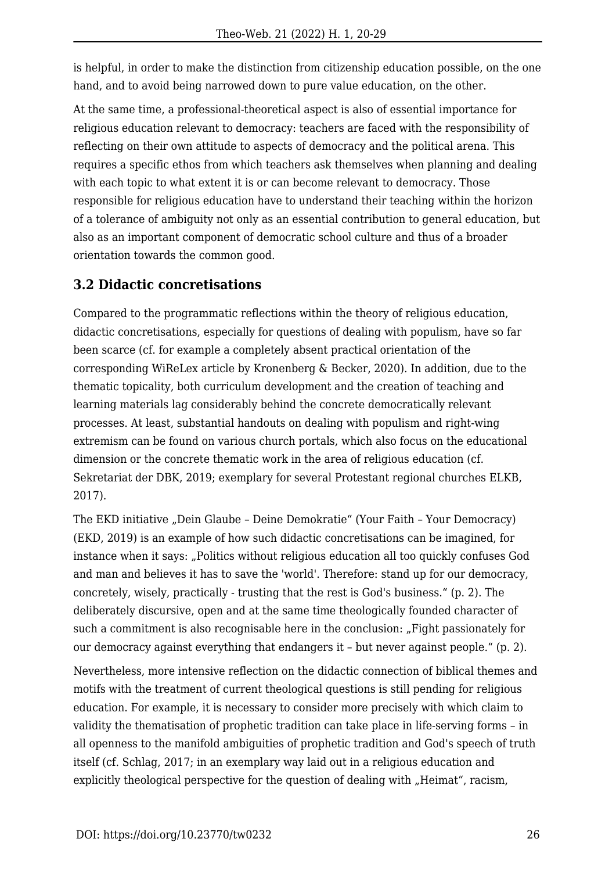is helpful, in order to make the distinction from citizenship education possible, on the one hand, and to avoid being narrowed down to pure value education, on the other.

At the same time, a professional-theoretical aspect is also of essential importance for religious education relevant to democracy: teachers are faced with the responsibility of reflecting on their own attitude to aspects of democracy and the political arena. This requires a specific ethos from which teachers ask themselves when planning and dealing with each topic to what extent it is or can become relevant to democracy. Those responsible for religious education have to understand their teaching within the horizon of a tolerance of ambiguity not only as an essential contribution to general education, but also as an important component of democratic school culture and thus of a broader orientation towards the common good.

#### **3.2 Didactic concretisations**

Compared to the programmatic reflections within the theory of religious education, didactic concretisations, especially for questions of dealing with populism, have so far been scarce (cf. for example a completely absent practical orientation of the corresponding WiReLex article by Kronenberg & Becker, 2020). In addition, due to the thematic topicality, both curriculum development and the creation of teaching and learning materials lag considerably behind the concrete democratically relevant processes. At least, substantial handouts on dealing with populism and right-wing extremism can be found on various church portals, which also focus on the educational dimension or the concrete thematic work in the area of religious education (cf. Sekretariat der DBK, 2019; exemplary for several Protestant regional churches ELKB, 2017).

The EKD initiative "Dein Glaube - Deine Demokratie" (Your Faith - Your Democracy) (EKD, 2019) is an example of how such didactic concretisations can be imagined, for instance when it says: "Politics without religious education all too quickly confuses God and man and believes it has to save the 'world'. Therefore: stand up for our democracy, concretely, wisely, practically - trusting that the rest is God's business." (p. 2). The deliberately discursive, open and at the same time theologically founded character of such a commitment is also recognisable here in the conclusion: "Fight passionately for our democracy against everything that endangers it – but never against people." (p. 2).

Nevertheless, more intensive reflection on the didactic connection of biblical themes and motifs with the treatment of current theological questions is still pending for religious education. For example, it is necessary to consider more precisely with which claim to validity the thematisation of prophetic tradition can take place in life-serving forms – in all openness to the manifold ambiguities of prophetic tradition and God's speech of truth itself (cf. Schlag, 2017; in an exemplary way laid out in a religious education and explicitly theological perspective for the question of dealing with "Heimat", racism,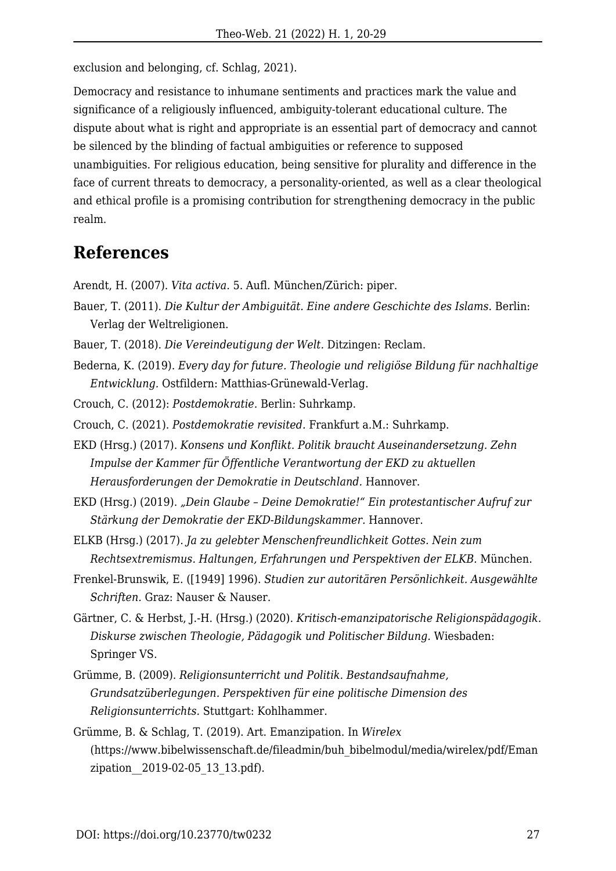exclusion and belonging, cf. Schlag, 2021).

Democracy and resistance to inhumane sentiments and practices mark the value and significance of a religiously influenced, ambiguity-tolerant educational culture. The dispute about what is right and appropriate is an essential part of democracy and cannot be silenced by the blinding of factual ambiguities or reference to supposed unambiguities. For religious education, being sensitive for plurality and difference in the face of current threats to democracy, a personality-oriented, as well as a clear theological and ethical profile is a promising contribution for strengthening democracy in the public realm.

#### **References**

Arendt, H. (2007). *Vita activa.* 5. Aufl. München/Zürich: piper.

- Bauer, T. (2011). *Die Kultur der Ambiguität. Eine andere Geschichte des Islams.* Berlin: Verlag der Weltreligionen.
- Bauer, T. (2018). *Die Vereindeutigung der Welt.* Ditzingen: Reclam.
- Bederna, K. (2019). *Every day for future. Theologie und religiöse Bildung für nachhaltige Entwicklung.* Ostfildern: Matthias-Grünewald-Verlag.
- Crouch, C. (2012): *Postdemokratie.* Berlin: Suhrkamp.
- Crouch, C. (2021). *Postdemokratie revisited.* Frankfurt a.M.: Suhrkamp.
- EKD (Hrsg.) (2017). *Konsens und Konflikt. Politik braucht Auseinandersetzung. Zehn Impulse der Kammer für Öffentliche Verantwortung der EKD zu aktuellen Herausforderungen der Demokratie in Deutschland.* Hannover.
- EKD (Hrsg.) (2019). *"Dein Glaube Deine Demokratie!" Ein protestantischer Aufruf zur Stärkung der Demokratie der EKD-Bildungskammer.* Hannover.
- ELKB (Hrsg.) (2017). *Ja zu gelebter Menschenfreundlichkeit Gottes. Nein zum Rechtsextremismus. Haltungen, Erfahrungen und Perspektiven der ELKB.* München.
- Frenkel-Brunswik, E. ([1949] 1996). *Studien zur autoritären Persönlichkeit. Ausgewählte Schriften.* Graz: Nauser & Nauser.
- Gärtner, C. & Herbst, J.-H. (Hrsg.) (2020). *Kritisch-emanzipatorische Religionspädagogik. Diskurse zwischen Theologie, Pädagogik und Politischer Bildung.* Wiesbaden: Springer VS.
- Grümme, B. (2009). *Religionsunterricht und Politik. Bestandsaufnahme, Grundsatzüberlegungen. Perspektiven für eine politische Dimension des Religionsunterrichts.* Stuttgart: Kohlhammer.
- Grümme, B. & Schlag, T. (2019). Art. Emanzipation. In *Wirelex* (https://www.bibelwissenschaft.de/fileadmin/buh\_bibelmodul/media/wirelex/pdf/Eman zipation\_\_2019-02-05\_13\_13.pdf).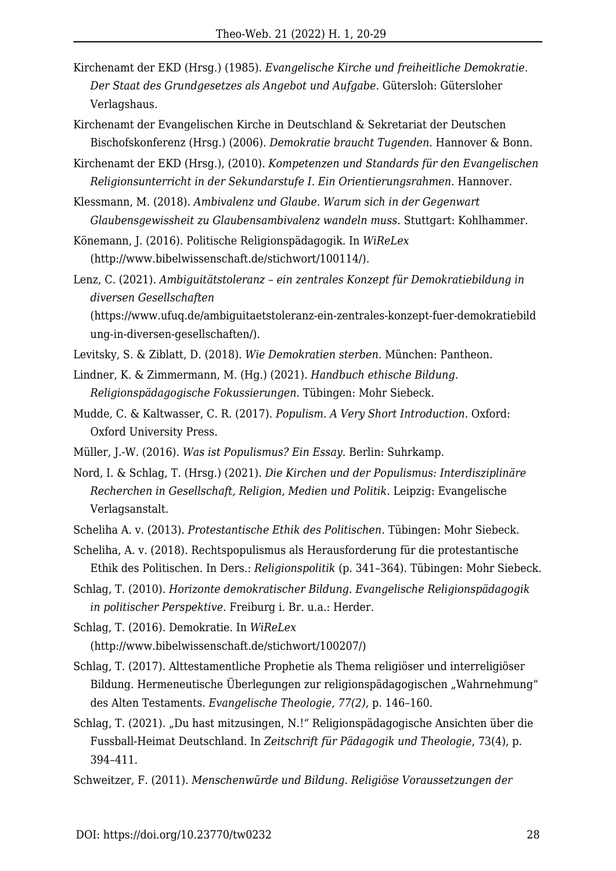- Kirchenamt der EKD (Hrsg.) (1985). *Evangelische Kirche und freiheitliche Demokratie. Der Staat des Grundgesetzes als Angebot und Aufgabe.* Gütersloh: Gütersloher Verlagshaus.
- Kirchenamt der Evangelischen Kirche in Deutschland & Sekretariat der Deutschen Bischofskonferenz (Hrsg.) (2006). *Demokratie braucht Tugenden.* Hannover & Bonn.
- Kirchenamt der EKD (Hrsg.), (2010). *Kompetenzen und Standards für den Evangelischen Religionsunterricht in der Sekundarstufe I. Ein Orientierungsrahmen.* Hannover.
- Klessmann, M. (2018). *Ambivalenz und Glaube. Warum sich in der Gegenwart Glaubensgewissheit zu Glaubensambivalenz wandeln muss.* Stuttgart: Kohlhammer.
- Könemann, J. (2016). Politische Religionspädagogik. In *WiReLex* (http://www.bibelwissenschaft.de/stichwort/100114/).
- Lenz, C. (2021). *Ambiguitätstoleranz ein zentrales Konzept für Demokratiebildung in diversen Gesellschaften* (https://www.ufuq.de/ambiguitaetstoleranz-ein-zentrales-konzept-fuer-demokratiebild ung-in-diversen-gesellschaften/).
- Levitsky, S. & Ziblatt, D. (2018). *Wie Demokratien sterben.* München: Pantheon.
- Lindner, K. & Zimmermann, M. (Hg.) (2021). *Handbuch ethische Bildung. Religionspädagogische Fokussierungen.* Tübingen: Mohr Siebeck.
- Mudde, C. & Kaltwasser, C. R. (2017). *Populism. A Very Short Introduction.* Oxford: Oxford University Press.
- Müller, J.-W. (2016). *Was ist Populismus? Ein Essay.* Berlin: Suhrkamp.
- Nord, I. & Schlag, T. (Hrsg.) (2021). *Die Kirchen und der Populismus: Interdisziplinäre Recherchen in Gesellschaft, Religion, Medien und Politik.* Leipzig: Evangelische Verlagsanstalt.
- Scheliha A. v. (2013). *Protestantische Ethik des Politischen.* Tübingen: Mohr Siebeck.
- Scheliha, A. v. (2018). Rechtspopulismus als Herausforderung für die protestantische Ethik des Politischen. In Ders.: *Religionspolitik* (p. 341–364). Tübingen: Mohr Siebeck.
- Schlag, T. (2010). *Horizonte demokratischer Bildung. Evangelische Religionspädagogik in politischer Perspektive.* Freiburg i. Br. u.a.: Herder.

Schlag, T. (2016). Demokratie. In *WiReLex*

(http://www.bibelwissenschaft.de/stichwort/100207/)

- Schlag, T. (2017). Alttestamentliche Prophetie als Thema religiöser und interreligiöser Bildung. Hermeneutische Überlegungen zur religionspädagogischen "Wahrnehmung" des Alten Testaments. *Evangelische Theologie, 77(2)*, p. 146–160.
- Schlag, T. (2021). "Du hast mitzusingen, N.!" Religionspädagogische Ansichten über die Fussball-Heimat Deutschland. In *Zeitschrift für Pädagogik und Theologie*, 73(4), p. 394–411.
- Schweitzer, F. (2011). *Menschenwürde und Bildung. Religiöse Voraussetzungen der*